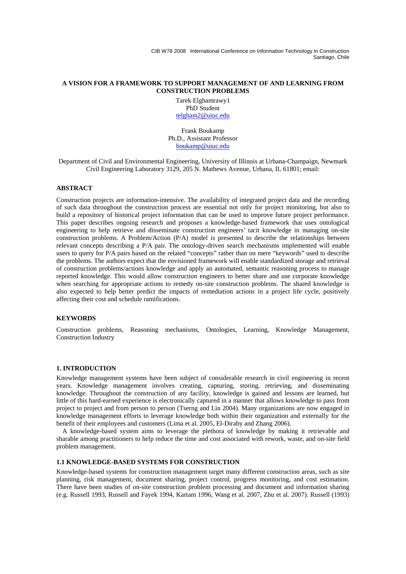### **A VISION FOR A FRAMEWORK TO SUPPORT MANAGEMENT OF AND LEARNING FROM CONSTRUCTION PROBLEMS**

Tarek Elghamrawy1 PhD Student telgham2@uiuc.edu

Frank Boukamp Ph.D., Assistant Professor boukamp@uiuc.edu

Department of Civil and Environmental Engineering, University of Illinois at Urbana-Champaign, Newmark Civil Engineering Laboratory 3129, 205 N. Mathews Avenue, Urbana, IL 61801; email:

#### **ABSTRACT**

Construction projects are information-intensive. The availability of integrated project data and the recording of such data throughout the construction process are essential not only for project monitoring, but also to build a repository of historical project information that can be used to improve future project performance. This paper describes ongoing research and proposes a knowledge-based framework that uses ontological engineering to help retrieve and disseminate construction engineers' tacit knowledge in managing on-site construction problems. A Problem/Action (P/A) model is presented to describe the relationships between relevant concepts describing a P/A pair. The ontology-driven search mechanisms implemented will enable users to query for P/A pairs based on the related "concepts" rather than on mere "keywords" used to describe the problems. The authors expect that the envisioned framework will enable standardized storage and retrieval of construction problems/actions knowledge and apply an automated, semantic reasoning process to manage reported knowledge. This would allow construction engineers to better share and use corporate knowledge when searching for appropriate actions to remedy on-site construction problems. The shared knowledge is also expected to help better predict the impacts of remediation actions in a project life cycle, positively affecting their cost and schedule ramifications.

# **KEYWORDS**

Construction problems, Reasoning mechanisms, Ontologies, Learning, Knowledge Management, Construction Industry

#### **1. INTRODUCTION**

Knowledge management systems have been subject of considerable research in civil engineering in recent years. Knowledge management involves creating, capturing, storing, retrieving, and disseminating knowledge. Throughout the construction of any facility, knowledge is gained and lessons are learned, but little of this hard-earned experience is electronically captured in a manner that allows knowledge to pass from project to project and from person to person (Tserng and Lin 2004). Many organizations are now engaged in knowledge management efforts to leverage knowledge both within their organization and externally for the benefit of their employees and customers (Lima et al. 2005, El-Diraby and Zhang 2006).

A knowledge-based system aims to leverage the plethora of knowledge by making it retrievable and sharable among practitioners to help reduce the time and cost associated with rework, waste, and on-site field problem management.

# **1.1 KNOWLEDGE-BASED SYSTEMS FOR CONSTRUCTION**

Knowledge-based systems for construction management target many different construction areas, such as site planning, risk management, document sharing, project control, progress monitoring, and cost estimation. There have been studies of on-site construction problem processing and document and information sharing (e.g. Russell 1993, Russell and Fayek 1994, Kartam 1996, Wang et al. 2007, Zhu et al. 2007). Russell (1993)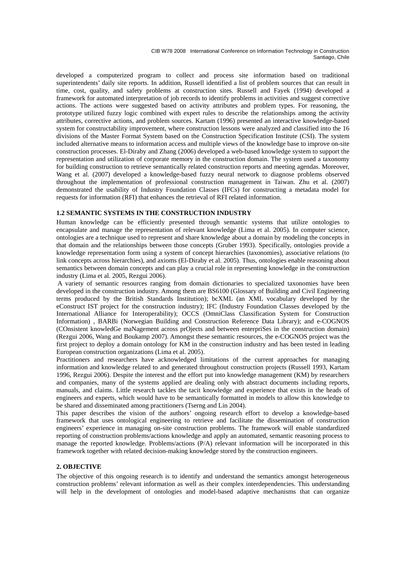developed a computerized program to collect and process site information based on traditional superintendents' daily site reports. In addition, Russell identified a list of problem sources that can result in time, cost, quality, and safety problems at construction sites. Russell and Fayek (1994) developed a framework for automated interpretation of job records to identify problems in activities and suggest corrective actions. The actions were suggested based on activity attributes and problem types. For reasoning, the prototype utilized fuzzy logic combined with expert rules to describe the relationships among the activity attributes, corrective actions, and problem sources. Kartam (1996) presented an interactive knowledge-based system for constructability improvement, where construction lessons were analyzed and classified into the 16 divisions of the Master Format System based on the Construction Specification Institute (CSI). The system included alternative means to information access and multiple views of the knowledge base to improve on-site construction processes. El-Diraby and Zhang (2006) developed a web-based knowledge system to support the representation and utilization of corporate memory in the construction domain. The system used a taxonomy for building construction to retrieve semantically related construction reports and meeting agendas. Moreover, Wang et al. (2007) developed a knowledge-based fuzzy neural network to diagnose problems observed throughout the implementation of professional construction management in Taiwan. Zhu et al. (2007) demonstrated the usability of Industry Foundation Classes (IFCs) for constructing a metadata model for requests for information (RFI) that enhances the retrieval of RFI related information.

### **1.2 SEMANTIC SYSTEMS IN THE CONSTRUCTION INDUSTRY**

Human knowledge can be efficiently presented through semantic systems that utilize ontologies to encapsulate and manage the representation of relevant knowledge (Lima et al. 2005). In computer science, ontologies are a technique used to represent and share knowledge about a domain by modeling the concepts in that domain and the relationships between those concepts (Gruber 1993). Specifically, ontologies provide a knowledge representation form using a system of concept hierarchies (taxonomies), associative relations (to link concepts across hierarchies), and axioms (El-Diraby et al. 2005). Thus, ontologies enable reasoning about semantics between domain concepts and can play a crucial role in representing knowledge in the construction industry (Lima et al. 2005, Rezgui 2006).

 A variety of semantic resources ranging from domain dictionaries to specialized taxonomies have been developed in the construction industry. Among them are BS6100 (Glossary of Building and Civil Engineering terms produced by the British Standards Institution); bcXML (an XML vocabulary developed by the eConstruct IST project for the construction industry); IFC (Industry Foundation Classes developed by the International Alliance for Interoperability); OCCS (OmniClass Classification System for Construction Information) , BARBi (Norwegian Building and Construction Reference Data Library); and e-COGNOS (COnsistent knowledGe maNagement across prOjects and between enterpriSes in the construction domain) (Rezgui 2006, Wang and Boukamp 2007). Amongst these semantic resources, the e-COGNOS project was the first project to deploy a domain ontology for KM in the construction industry and has been tested in leading European construction organizations (Lima et al. 2005).

Practitioners and researchers have acknowledged limitations of the current approaches for managing information and knowledge related to and generated throughout construction projects (Russell 1993, Kartam 1996, Rezgui 2006). Despite the interest and the effort put into knowledge management (KM) by researchers and companies, many of the systems applied are dealing only with abstract documents including reports, manuals, and claims. Little research tackles the tacit knowledge and experience that exists in the heads of engineers and experts, which would have to be semantically formatted in models to allow this knowledge to be shared and disseminated among practitioners (Tserng and Lin 2004).

This paper describes the vision of the authors' ongoing research effort to develop a knowledge-based framework that uses ontological engineering to retrieve and facilitate the dissemination of construction engineers' experience in managing on-site construction problems. The framework will enable standardized reporting of construction problems/actions knowledge and apply an automated, semantic reasoning process to manage the reported knowledge. Problems/actions (P/A) relevant information will be incorporated in this framework together with related decision-making knowledge stored by the construction engineers.

# **2. OBJECTIVE**

The objective of this ongoing research is to identify and understand the semantics amongst heterogeneous construction problems' relevant information as well as their complex interdependencies. This understanding will help in the development of ontologies and model-based adaptive mechanisms that can organize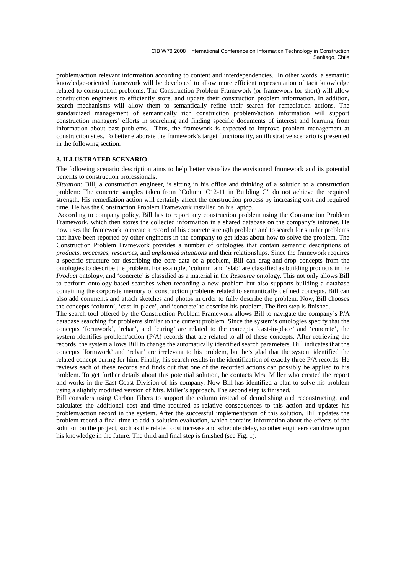problem/action relevant information according to content and interdependencies. In other words, a semantic knowledge-oriented framework will be developed to allow more efficient representation of tacit knowledge related to construction problems. The Construction Problem Framework (or framework for short) will allow construction engineers to efficiently store, and update their construction problem information. In addition, search mechanisms will allow them to semantically refine their search for remediation actions. The standardized management of semantically rich construction problem/action information will support construction managers' efforts in searching and finding specific documents of interest and learning from information about past problems. Thus, the framework is expected to improve problem management at construction sites. To better elaborate the framework's target functionality, an illustrative scenario is presented in the following section.

### **3. ILLUSTRATED SCENARIO**

The following scenario description aims to help better visualize the envisioned framework and its potential benefits to construction professionals.

*Situation:* Bill, a construction engineer, is sitting in his office and thinking of a solution to a construction problem: The concrete samples taken from "Column C12-11 in Building C" do not achieve the required strength. His remediation action will certainly affect the construction process by increasing cost and required time. He has the Construction Problem Framework installed on his laptop.

 According to company policy, Bill has to report any construction problem using the Construction Problem Framework, which then stores the collected information in a shared database on the company's intranet. He now uses the framework to create a record of his concrete strength problem and to search for similar problems that have been reported by other engineers in the company to get ideas about how to solve the problem. The Construction Problem Framework provides a number of ontologies that contain semantic descriptions of *products*, *processes*, *resources*, and *unplanned situations* and their relationships. Since the framework requires a specific structure for describing the core data of a problem, Bill can drag-and-drop concepts from the ontologies to describe the problem. For example, 'column' and 'slab' are classified as building products in the *Product* ontology, and 'concrete' is classified as a material in the *Resource* ontology. This not only allows Bill to perform ontology-based searches when recording a new problem but also supports building a database containing the corporate memory of construction problems related to semantically defined concepts. Bill can also add comments and attach sketches and photos in order to fully describe the problem. Now, Bill chooses the concepts 'column', 'cast-in-place', and 'concrete' to describe his problem. The first step is finished.

The search tool offered by the Construction Problem Framework allows Bill to navigate the company's P/A database searching for problems similar to the current problem. Since the system's ontologies specify that the concepts 'formwork', 'rebar', and 'curing' are related to the concepts 'cast-in-place' and 'concrete', the system identifies problem/action (P/A) records that are related to all of these concepts. After retrieving the records, the system allows Bill to change the automatically identified search parameters. Bill indicates that the concepts 'formwork' and 'rebar' are irrelevant to his problem, but he's glad that the system identified the related concept curing for him. Finally, his search results in the identification of exactly three P/A records. He reviews each of these records and finds out that one of the recorded actions can possibly be applied to his problem. To get further details about this potential solution, he contacts Mrs. Miller who created the report and works in the East Coast Division of his company. Now Bill has identified a plan to solve his problem using a slightly modified version of Mrs. Miller's approach. The second step is finished.

Bill considers using Carbon Fibers to support the column instead of demolishing and reconstructing, and calculates the additional cost and time required as relative consequences to this action and updates his problem/action record in the system. After the successful implementation of this solution, Bill updates the problem record a final time to add a solution evaluation, which contains information about the effects of the solution on the project, such as the related cost increase and schedule delay, so other engineers can draw upon his knowledge in the future. The third and final step is finished (see Fig. 1).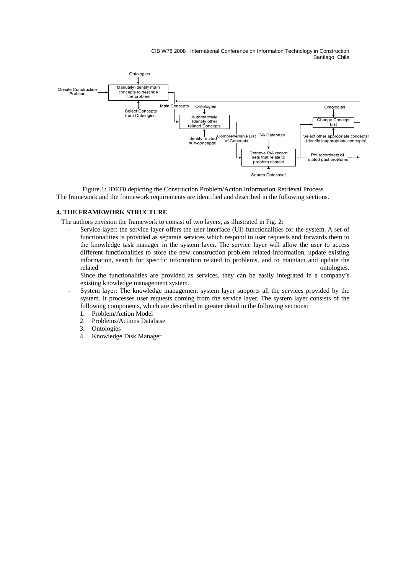

Figure.1: IDEF0 depicting the Construction Problem/Action Information Retrieval Process The framework and the framework requirements are identified and described in the following sections.

### **4. THE FRAMEWORK STRUCTURE**

The authors envision the framework to consist of two layers, as illustrated in Fig. 2:

Service layer: the service layer offers the user interface (UI) functionalities for the system. A set of functionalities is provided as separate services which respond to user requests and forwards them to the knowledge task manager in the system layer. The service layer will allow the user to access different functionalities to store the new construction problem related information, update existing information, search for specific information related to problems, and to maintain and update the related ontologies. The control of the control of the control of the control of the control of the control of the control of the control of the control of the control of the control of the control of the control of the con

Since the functionalities are provided as services, they can be easily integrated in a company's existing knowledge management system.

- System layer: The knowledge management system layer supports all the services provided by the system. It processes user requests coming from the service layer. The system layer consists of the following components, which are described in greater detail in the following sections:
	- 1. Problem/Action Model
	- 2. Problems/Actions Database
	- 3. Ontologies
	- 4. Knowledge Task Manager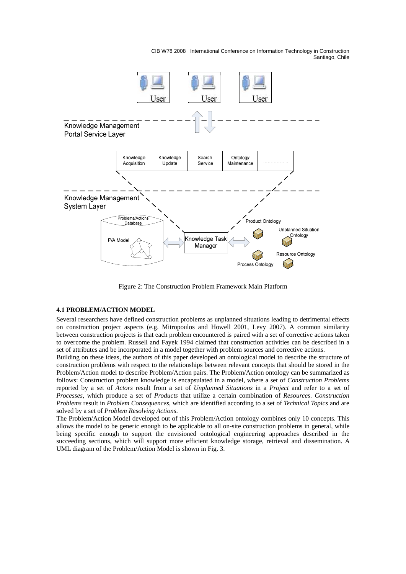

Figure 2: The Construction Problem Framework Main Platform

#### **4.1 PROBLEM/ACTION MODEL**

Several researchers have defined construction problems as unplanned situations leading to detrimental effects on construction project aspects (e.g. Mitropoulos and Howell 2001, Levy 2007). A common similarity between construction projects is that each problem encountered is paired with a set of corrective actions taken to overcome the problem. Russell and Fayek 1994 claimed that construction activities can be described in a set of attributes and be incorporated in a model together with problem sources and corrective actions.

Building on these ideas, the authors of this paper developed an ontological model to describe the structure of construction problems with respect to the relationships between relevant concepts that should be stored in the Problem/Action model to describe Problem/Action pairs. The Problem/Action ontology can be summarized as follows: Construction problem knowledge is encapsulated in a model, where a set of *Construction Problems* reported by a set of *Actors* result from a set of *Unplanned Situations* in a *Project* and refer to a set of *Processes*, which produce a set of *Products* that utilize a certain combination of *Resources*. *Construction Problems* result in *Problem Consequences,* which are identified according to a set of *Technical Topics* and are solved by a set of *Problem Resolving Actions*.

The Problem/Action Model developed out of this Problem/Action ontology combines only 10 concepts. This allows the model to be generic enough to be applicable to all on-site construction problems in general, while being specific enough to support the envisioned ontological engineering approaches described in the succeeding sections, which will support more efficient knowledge storage, retrieval and dissemination. A UML diagram of the Problem/Action Model is shown in Fig. 3.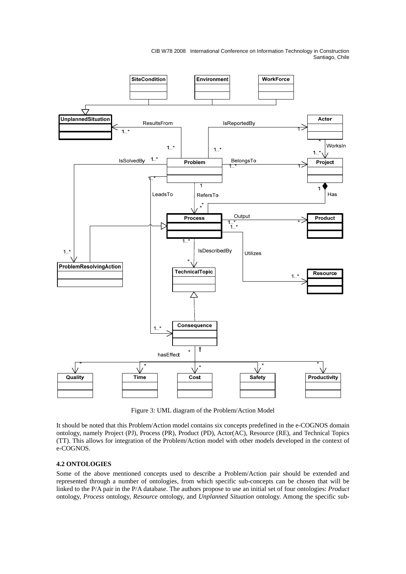

Figure 3: UML diagram of the Problem/Action Model

It should be noted that this Problem/Action model contains six concepts predefined in the e-COGNOS domain ontology, namely Project (PJ), Process (PR), Product (PD), Actor(AC), Resource (RE), and Technical Topics (TT). This allows for integration of the Problem/Action model with other models developed in the context of e-COGNOS.

# **4.2 ONTOLOGIES**

Some of the above mentioned concepts used to describe a Problem/Action pair should be extended and represented through a number of ontologies, from which specific sub-concepts can be chosen that will be linked to the P/A pair in the P/A database. The authors propose to use an initial set of four ontologies: *Product* ontology, *Process* ontology, *Resource* ontology, and *Unplanned Situation* ontology. Among the specific sub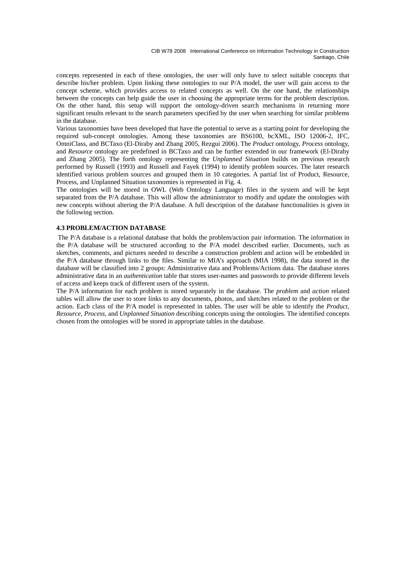concepts represented in each of these ontologies, the user will only have to select suitable concepts that describe his/her problem. Upon linking these ontologies to our P/A model, the user will gain access to the concept scheme, which provides access to related concepts as well. On the one hand, the relationships between the concepts can help guide the user in choosing the appropriate terms for the problem description. On the other hand, this setup will support the ontology-driven search mechanisms in returning more significant results relevant to the search parameters specified by the user when searching for similar problems in the database.

Various taxonomies have been developed that have the potential to serve as a starting point for developing the required sub-concept ontologies. Among these taxonomies are BS6100, bcXML, ISO 12006-2, IFC, OmniClass, and BCTaxo (El-Diraby and Zhang 2005, Rezgui 2006). The *Product* ontology, *Process* ontology, and *Resource* ontology are predefined in BCTaxo and can be further extended in our framework (El-Diraby and Zhang 2005). The forth ontology representing the *Unplanned Situation* builds on previous research performed by Russell (1993) and Russell and Fayek (1994) to identify problem sources. The later research identified various problem sources and grouped them in 10 categories. A partial list of Product, Resource, Process, and Unplanned Situation taxonomies is represented in Fig. 4.

The ontologies will be stored in OWL (Web Ontology Language) files in the system and will be kept separated from the P/A database. This will allow the administrator to modify and update the ontologies with new concepts without altering the P/A database. A full description of the database functionalities is given in the following section.

# **4.3 PROBLEM/ACTION DATABASE**

 The P/A database is a relational database that holds the problem/action pair information. The information in the P/A database will be structured according to the P/A model described earlier. Documents, such as sketches, comments, and pictures needed to describe a construction problem and action will be embedded in the P/A database through links to the files. Similar to MIA's approach (MIA 1998), the data stored in the database will be classified into 2 groups: Administrative data and Problems/Actions data. The database stores administrative data in an *authentication* table that stores user-names and passwords to provide different levels of access and keeps track of different users of the system.

The P/A information for each problem is stored separately in the database. The *problem* and *action* related tables will allow the user to store links to any documents, photos, and sketches related to the problem or the action. Each class of the P/A model is represented in tables. The user will be able to identify the *Product*, *Resource*, *Process*, and *Unplanned Situation* describing concepts using the ontologies. The identified concepts chosen from the ontologies will be stored in appropriate tables in the database.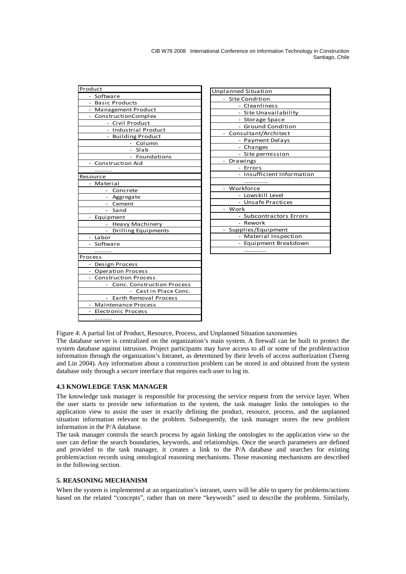| Product                               |
|---------------------------------------|
| - Software                            |
| - Basic Products                      |
| - Management Product                  |
| - ConstructionComplex                 |
| - Civil Product                       |
| - Industrial Product                  |
| - Building Product                    |
| - Column                              |
| Slab                                  |
| - Foundations                         |
| - Construction Aid                    |
|                                       |
| Resource                              |
| - Material                            |
| Concrete                              |
| - Aggregate                           |
| Cement                                |
| Sand                                  |
| Equipment<br>$\overline{\phantom{0}}$ |
| Heavy Machinery<br>$\sim$             |
| Drilling Equipments                   |
| - Labor                               |
| - Software                            |
| .                                     |
| Process                               |
| - Design Process                      |
| - Operation Process                   |
| <b>Construction Process</b>           |
| <b>Conc. Construction Process</b>     |
| Cast in Place Conc.<br>$\mathbf{r}$   |
| <b>Earth Removal Process</b>          |
| <b>Maintenance Process</b>            |
| <b>Electronic Process</b>             |
|                                       |

| <b>Unplanned Situation</b>   |
|------------------------------|
| Site Condition               |
| - Cleanliness                |
| - Site Unavailability        |
| - Storage Space              |
| - Ground Condition           |
| Consultant/Architect         |
| Payment Delays               |
| - Changes                    |
| - Site permission            |
| Drawings                     |
| - Errors                     |
| Insufficient Information     |
|                              |
| Workforce                    |
| - Lowskill Level             |
| - Unsafe Practices           |
| Work                         |
| <b>Subcontractors Errors</b> |
| Rework                       |
| Supplies/Equipment           |
| Material Inspection          |
| Equipment Breakdown          |
|                              |

Figure 4: A partial list of Product, Resource, Process, and Unplanned Situation taxonomies

The database server is centralized on the organization's main system. A firewall can be built to protect the system database against intrusion. Project participants may have access to all or some of the problem/action information through the organization's Intranet, as determined by their levels of access authorization (Tserng and Lin 2004). Any information about a construction problem can be stored in and obtained from the system database only through a secure interface that requires each user to log in.

### **4.3 KNOWLEDGE TASK MANAGER**

The knowledge task manager is responsible for processing the service request from the service layer. When the user starts to provide new information to the system, the task manager links the ontologies to the application view to assist the user in exactly defining the product, resource, process, and the unplanned situation information relevant to the problem. Subsequently, the task manager stores the new problem information in the P/A database.

The task manager controls the search process by again linking the ontologies to the application view so the user can define the search boundaries, keywords, and relationships. Once the search parameters are defined and provided to the task manager, it creates a link to the P/A database and searches for existing problem/action records using ontological reasoning mechanisms. Those reasoning mechanisms are described in the following section.

### **5. REASONING MECHANISM**

When the system is implemented at an organization's intranet, users will be able to query for problems/actions based on the related "concepts", rather than on mere "keywords" used to describe the problems. Similarly,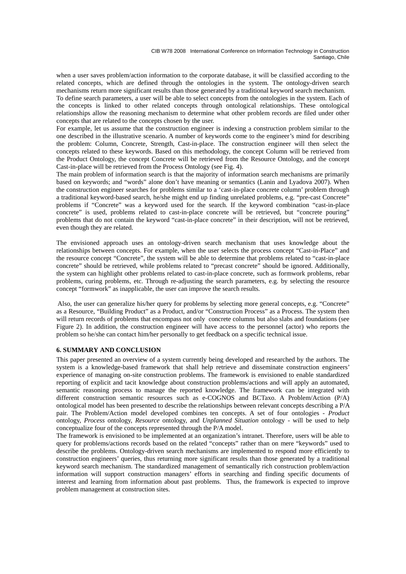when a user saves problem/action information to the corporate database, it will be classified according to the related concepts, which are defined through the ontologies in the system. The ontology-driven search mechanisms return more significant results than those generated by a traditional keyword search mechanism.

To define search parameters, a user will be able to select concepts from the ontologies in the system. Each of the concepts is linked to other related concepts through ontological relationships. These ontological relationships allow the reasoning mechanism to determine what other problem records are filed under other concepts that are related to the concepts chosen by the user.

For example, let us assume that the construction engineer is indexing a construction problem similar to the one described in the illustrative scenario. A number of keywords come to the engineer's mind for describing the problem: Column, Concrete, Strength, Cast-in-place. The construction engineer will then select the concepts related to these keywords. Based on this methodology, the concept Column will be retrieved from the Product Ontology, the concept Concrete will be retrieved from the Resource Ontology, and the concept Cast-in-place will be retrieved from the Process Ontology (see Fig. 4).

The main problem of information search is that the majority of information search mechanisms are primarily based on keywords; and "words" alone don't have meaning or semantics (Lanin and Lyadova 2007). When the construction engineer searches for problems similar to a 'cast-in-place concrete column' problem through a traditional keyword-based search, he/she might end up finding unrelated problems, e.g. "pre-cast Concrete" problems if "Concrete" was a keyword used for the search. If the keyword combination "cast-in-place concrete" is used, problems related to cast-in-place concrete will be retrieved, but "concrete pouring" problems that do not contain the keyword "cast-in-place concrete" in their description, will not be retrieved, even though they are related.

The envisioned approach uses an ontology-driven search mechanism that uses knowledge about the relationships between concepts. For example, when the user selects the process concept "Cast-in-Place" and the resource concept "Concrete", the system will be able to determine that problems related to "cast-in-place concrete" should be retrieved, while problems related to "precast concrete" should be ignored. Additionally, the system can highlight other problems related to cast-in-place concrete, such as formwork problems, rebar problems, curing problems, etc. Through re-adjusting the search parameters, e.g. by selecting the resource concept "formwork" as inapplicable, the user can improve the search results.

 Also, the user can generalize his/her query for problems by selecting more general concepts, e.g. "Concrete" as a Resource, "Building Product" as a Product, and/or "Construction Process" as a Process. The system then will return records of problems that encompass not only concrete columns but also slabs and foundations (see Figure 2). In addition, the construction engineer will have access to the personnel (actor) who reports the problem so he/she can contact him/her personally to get feedback on a specific technical issue.

# **6. SUMMARY AND CONCLUSION**

This paper presented an overview of a system currently being developed and researched by the authors. The system is a knowledge-based framework that shall help retrieve and disseminate construction engineers' experience of managing on-site construction problems. The framework is envisioned to enable standardized reporting of explicit and tacit knowledge about construction problems/actions and will apply an automated, semantic reasoning process to manage the reported knowledge. The framework can be integrated with different construction semantic resources such as e-COGNOS and BCTaxo. A Problem/Action (P/A) ontological model has been presented to describe the relationships between relevant concepts describing a P/A pair. The Problem/Action model developed combines ten concepts. A set of four ontologies *- Product* ontology, *Process* ontology, *Resource* ontology, and *Unplanned Situation* ontology *-* will be used to help conceptualize four of the concepts represented through the P/A model.

The framework is envisioned to be implemented at an organization's intranet. Therefore, users will be able to query for problems/actions records based on the related "concepts" rather than on mere "keywords" used to describe the problems. Ontology-driven search mechanisms are implemented to respond more efficiently to construction engineers' queries, thus returning more significant results than those generated by a traditional keyword search mechanism. The standardized management of semantically rich construction problem/action information will support construction managers' efforts in searching and finding specific documents of interest and learning from information about past problems. Thus, the framework is expected to improve problem management at construction sites.